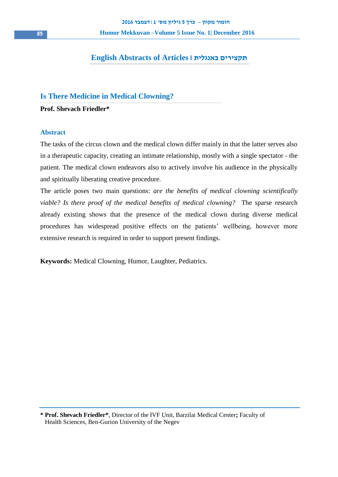# **English Abstracts of Articles || באנגלית תקצירים**

# **Is There Medicine in Medical Clowning?**

**Prof. Shevach Friedler\***

# **Abstract**

The tasks of the circus clown and the medical clown differ mainly in that the latter serves also in a therapeutic capacity, creating an intimate relationship, mostly with a single spectator - the patient. The medical clown endeavors also to actively involve his audience in the physically and spiritually liberating creative procedure.

The article poses two main questions: *are the benefits of medical clowning scientifically viable? Is there proof of the medical benefits of medical clowning?* The sparse research already existing shows that the presence of the medical clown during diverse medical procedures has widespread positive effects on the patients' wellbeing, however more extensive research is required in order to support present findings.

**Keywords:** Medical Clowning, Humor, Laughter, Pediatrics.

**\* Prof. Shevach Friedler\***, Director of the IVF Unit, Barzilai Medical Center**;** Faculty of Health Sciences, Ben-Gurion University of the Negev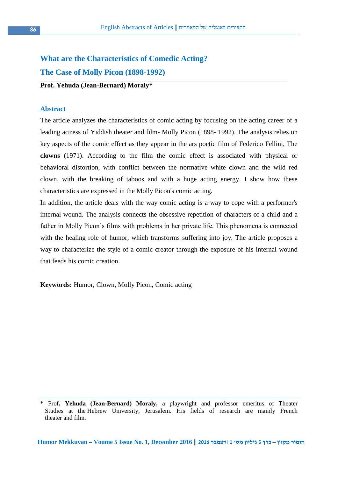# **What are the Characteristics of Comedic Acting?**

**The Case of Molly Picon (1898-1992)**

**Prof. Yehuda (Jean-Bernard) Moraly\***

# **Abstract**

The article analyzes the characteristics of comic acting by focusing on the acting career of a leading actress of Yiddish theater and film- Molly Picon (1898- 1992). The analysis relies on key aspects of the comic effect as they appear in the ars poetic film of Federico Fellini, The **clowns** (1971). According to the film the comic effect is associated with physical or behavioral distortion, with conflict between the normative white clown and the wild red clown, with the breaking of taboos and with a huge acting energy. I show how these characteristics are expressed in the Molly Picon's comic acting.

In addition, the article deals with the way comic acting is a way to cope with a performer's internal wound. The analysis connects the obsessive repetition of characters of a child and a father in Molly Picon's films with problems in her private life. This phenomena is connected with the healing role of humor, which transforms suffering into joy. The article proposes a way to characterize the style of a comic creator through the exposure of his internal wound that feeds his comic creation.

**Keywords:** Humor, Clown, Molly Picon, Comic acting

**<sup>\*</sup>** Prof**. Yehuda (Jean-Bernard) Moraly,** a playwright and professor emeritus of Theater Studies at the Hebrew University, Jerusalem. His fields of research are mainly French theater and film.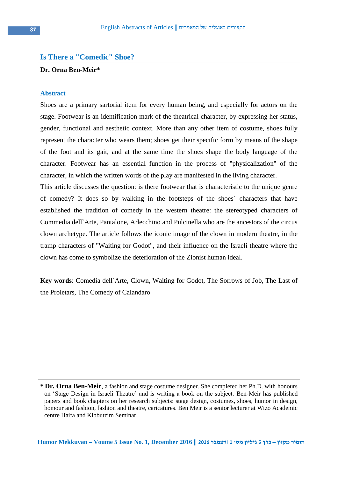# **Is There a "Comedic" Shoe?**

# **Dr. Orna Ben-Meir\***

#### **Abstract**

Shoes are a primary sartorial item for every human being, and especially for actors on the stage. Footwear is an identification mark of the theatrical character, by expressing her status, gender, functional and aesthetic context. More than any other item of costume, shoes fully represent the character who wears them; shoes get their specific form by means of the shape of the foot and its gait, and at the same time the shoes shape the body language of the character. Footwear has an essential function in the process of "physicalization" of the character, in which the written words of the play are manifested in the living character.

This article discusses the question: is there footwear that is characteristic to the unique genre of comedy? It does so by walking in the footsteps of the shoes` characters that have established the tradition of comedy in the western theatre: the stereotyped characters of Commedia dell`Arte, Pantalone, Arlecchino and Pulcinella who are the ancestors of the circus clown archetype. The article follows the iconic image of the clown in modern theatre, in the tramp characters of "Waiting for Godot", and their influence on the Israeli theatre where the clown has come to symbolize the deterioration of the Zionist human ideal.

**Key words**: Comedia dell`Arte, Clown, Waiting for Godot, The Sorrows of Job, The Last of the Proletars, The Comedy of Calandaro

**<sup>\*</sup> Dr. Orna Ben-Meir**, a fashion and stage costume designer. She completed her Ph.D. with honours on 'Stage Design in Israeli Theatre' and is writing a book on the subject. Ben-Meir has published papers and book chapters on her research subjects: stage design, costumes, shoes, humor in design, homour and fashion, fashion and theatre, caricatures. Ben Meir is a senior lecturer at Wizo Academic centre Haifa and Kibbutzim Seminar.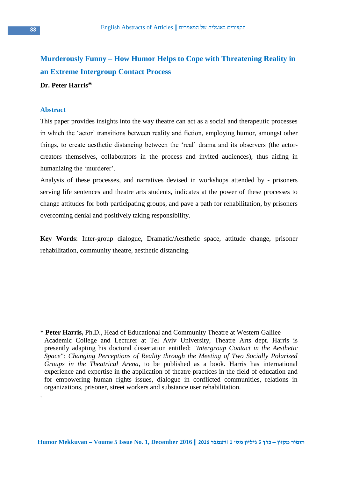# **Murderously Funny – How Humor Helps to Cope with Threatening Reality in an Extreme Intergroup Contact Process**

# **Dr. Peter Harris\***

#### **Abstract**

.

This paper provides insights into the way theatre can act as a social and therapeutic processes in which the 'actor' transitions between reality and fiction, employing humor, amongst other things, to create aesthetic distancing between the 'real' drama and its observers (the actorcreators themselves, collaborators in the process and invited audiences), thus aiding in humanizing the 'murderer'.

Analysis of these processes, and narratives devised in workshops attended by - prisoners serving life sentences and theatre arts students, indicates at the power of these processes to change attitudes for both participating groups, and pave a path for rehabilitation, by prisoners overcoming denial and positively taking responsibility.

**Key Words**: Inter-group dialogue, Dramatic/Aesthetic space, attitude change, prisoner rehabilitation, community theatre, aesthetic distancing.

\* **Peter Harris,** Ph.D., Head of Educational and Community Theatre at Western Galilee Academic College and Lecturer at Tel Aviv University, Theatre Arts dept. Harris is presently adapting his doctoral dissertation entitled: *"Intergroup Contact in the Aesthetic Space": Changing Perceptions of Reality through the Meeting of Two Socially Polarized Groups in the Theatrical Arena*, to be published as a book. Harris has international experience and expertise in the application of theatre practices in the field of education and for empowering human rights issues, dialogue in conflicted communities, relations in organizations, prisoner, street workers and substance user rehabilitation.